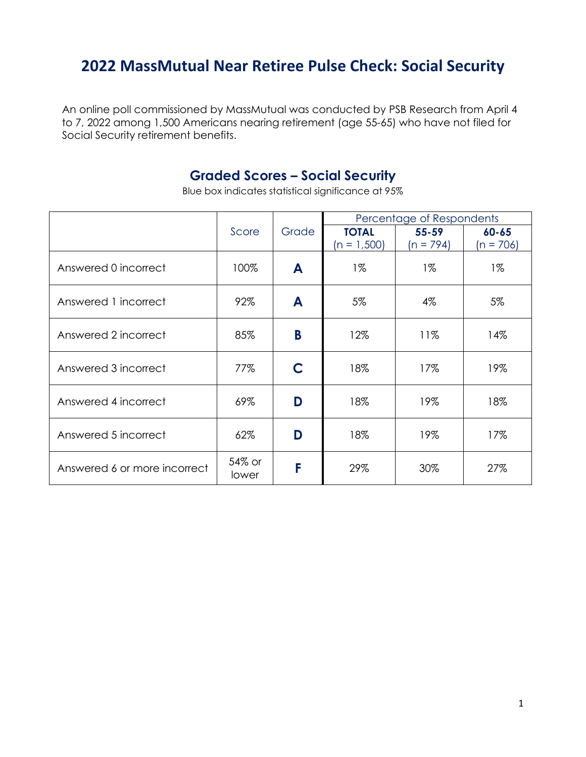## **2022 MassMutual Near Retiree Pulse Check: Social Security**

An online poll commissioned by MassMutual was conducted by PSB Research from April 4 to 7, 2022 among 1,500 Americans nearing retirement (age 55-65) who have not filed for Social Security retirement benefits.

## **Graded Scores – Social Security**

Blue box indicates statistical significance at 95%

|                              |                 |       | Percentage of Respondents     |                          |                          |  |
|------------------------------|-----------------|-------|-------------------------------|--------------------------|--------------------------|--|
|                              | Score           | Grade | <b>TOTAL</b><br>$(n = 1,500)$ | $55 - 59$<br>$(n = 794)$ | $60 - 65$<br>$(n = 706)$ |  |
| Answered 0 incorrect         | 100%            | A     | $1\%$                         | $1\%$                    | $1\%$                    |  |
| Answered 1 incorrect         | 92%             | A     | 5%                            | 4%                       | 5%                       |  |
| Answered 2 incorrect         | 85%             | B     | 12%                           | 11%                      | 14%                      |  |
| Answered 3 incorrect         | 77%             | C     | 18%                           | 17%                      | 19%                      |  |
| Answered 4 incorrect         | 69%             | D     | 18%                           | 19%                      | 18%                      |  |
| Answered 5 incorrect         | 62%             | D     | 18%<br>19%                    |                          | 17%                      |  |
| Answered 6 or more incorrect | 54% or<br>lower | F     | 29%                           | 30%                      | 27%                      |  |